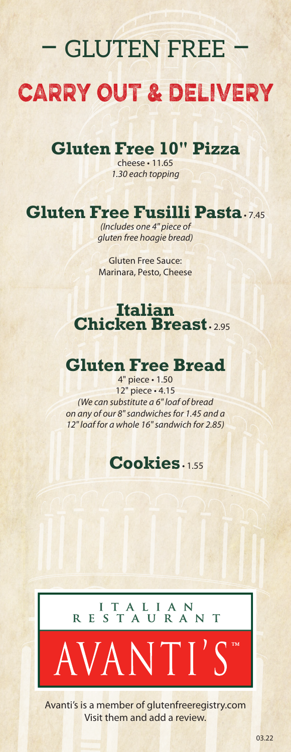# – gluten free – carry out & delivery

# **Gluten Free 10" Pizza**

cheese • 11.65 *1.30 each topping*

# **Gluten Free Fusilli Pasta** • 7.45

*(Includes one 4" piece of gluten free hoagie bread)*

Gluten Free Sauce: Marinara, Pesto, Cheese

#### **Italian Chicken Breast**

### **Gluten Free Bread**

4" piece • 1.50 12" piece • 4.15 *(We can substitute a 6" loaf of bread on any of our 8" sandwiches for 1.45 and a 12" loaf for a whole 16" sandwich for 2.85)*